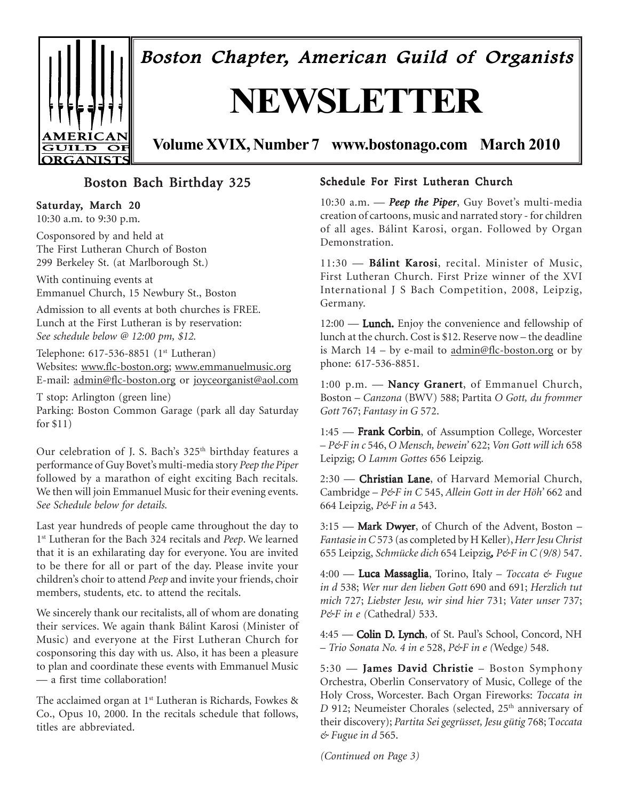

Boston Chapter, American Guild of Organists

# **NEWSLETTER**

**Volume XVIX, Number 7 www.bostonago.com March 2010**

# Boston Bach Birthday 325

#### Saturday, March 20

10:30 a.m. to 9:30 p.m.

Cosponsored by and held at The First Lutheran Church of Boston 299 Berkeley St. (at Marlborough St.)

With continuing events at Emmanuel Church, 15 Newbury St., Boston

Admission to all events at both churches is FREE. Lunch at the First Lutheran is by reservation: *See schedule below @ 12:00 pm, \$12.*

Telephone: 617-536-8851 (1<sup>st</sup> Lutheran) Websites: www.flc-boston.org; www.emmanuelmusic.org E-mail: admin@flc-boston.org or joyceorganist@aol.com

T stop: Arlington (green line) Parking: Boston Common Garage (park all day Saturday for \$11)

Our celebration of J. S. Bach's 325<sup>th</sup> birthday features a performance of Guy Bovet's multi-media story *Peep the Piper* followed by a marathon of eight exciting Bach recitals*.* We then will join Emmanuel Music for their evening events. *See Schedule below for details.*

Last year hundreds of people came throughout the day to 1st Lutheran for the Bach 324 recitals and *Peep*. We learned that it is an exhilarating day for everyone. You are invited to be there for all or part of the day. Please invite your children's choir to attend *Peep* and invite your friends, choir members, students, etc. to attend the recitals.

We sincerely thank our recitalists, all of whom are donating their services. We again thank Bálint Karosi (Minister of Music) and everyone at the First Lutheran Church for cosponsoring this day with us. Also, it has been a pleasure to plan and coordinate these events with Emmanuel Music — a first time collaboration!

The acclaimed organ at 1<sup>st</sup> Lutheran is Richards, Fowkes & Co., Opus 10, 2000. In the recitals schedule that follows, titles are abbreviated.

#### Schedule For First Lutheran Church

10:30 a.m. — *Peep the Piper*, Guy Bovet's multi-media creation of cartoons, music and narrated story - for children of all ages. Bálint Karosi, organ. Followed by Organ Demonstration.

 $11:30$  — Bálint Karosi, recital. Minister of Music, First Lutheran Church. First Prize winner of the XVI International J S Bach Competition, 2008, Leipzig, Germany.

 $12:00$  — Lunch. Enjoy the convenience and fellowship of lunch at the church. Cost is \$12. Reserve now – the deadline is March 14 – by e-mail to admin@flc-boston.org or by phone: 617-536-8851.

1:00 p.m.  $-$  Nancy Granert, of Emmanuel Church, Boston – *Canzona* (BWV) 588; Partita *O Gott, du frommer Gott* 767; *Fantasy in G* 572.

1:45 — Frank Corbin, of Assumption College, Worcester – *P&F in c* 546, *O Mensch, bewein'* 622; *Von Gott will ich* 658 Leipzig; *O Lamm Gottes* 656 Leipzig*.*

 $2:30$  - Christian Lane, of Harvard Memorial Church, Cambridge – *P&F in C* 545, *Allein Gott in der Höh'* 662 and 664 Leipzig, *P&F in a* 543.

 $3:15$  — Mark Dwyer, of Church of the Advent, Boston – *Fantasie in C* 573 (as completed by H Keller), *Herr Jesu Christ* 655 Leipzig, *Schmücke dich* 654 Leipzig*, P&F in C (9/8)* 547.

4:00 — Luca Massaglia, Torino, Italy – Toccata & Fugue *in d* 538; *Wer nur den lieben Gott* 690 and 691; *Herzlich tut mich* 727; *Liebster Jesu, wir sind hier* 731; *Vater unser* 737; *P&F in e (*Cathedral*)* 533.

4:45 - Colin D. Lynch, of St. Paul's School, Concord, NH – *Trio Sonata No. 4 in e* 528, *P&F in e (*Wedge*)* 548.

5:30 — James David Christie – Boston Symphony Orchestra, Oberlin Conservatory of Music, College of the Holy Cross, Worcester. Bach Organ Fireworks: *Toccata in D* 912; Neumeister Chorales (selected, 25<sup>th</sup> anniversary of their discovery); *Partita Sei gegrüsset, Jesu gütig* 768; T*occata & Fugue in d* 565.

*(Continued on Page 3)*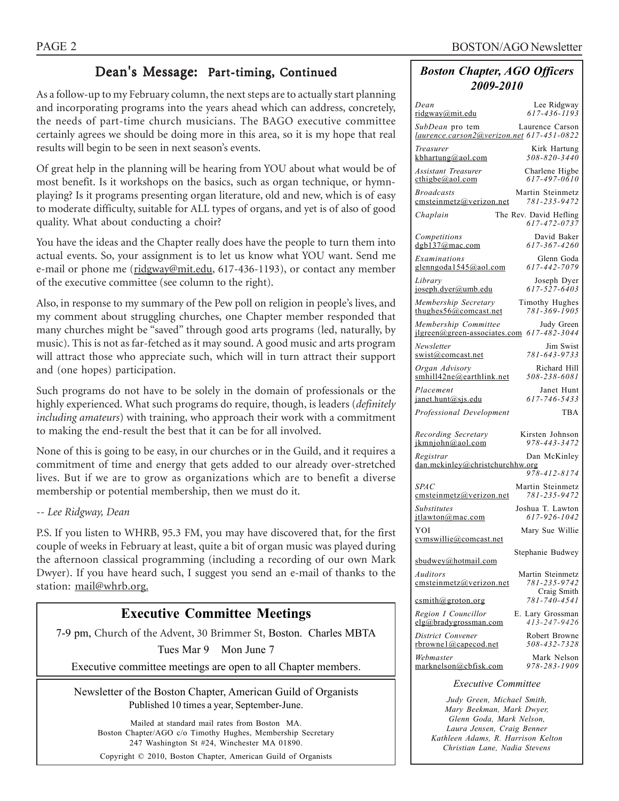## Dean's Message: Part-timing, Continued

As a follow-up to my February column, the next steps are to actually start planning and incorporating programs into the years ahead which can address, concretely, the needs of part-time church musicians. The BAGO executive committee certainly agrees we should be doing more in this area, so it is my hope that real results will begin to be seen in next season's events.

Of great help in the planning will be hearing from YOU about what would be of most benefit. Is it workshops on the basics, such as organ technique, or hymnplaying? Is it programs presenting organ literature, old and new, which is of easy to moderate difficulty, suitable for ALL types of organs, and yet is of also of good quality. What about conducting a choir?

You have the ideas and the Chapter really does have the people to turn them into actual events. So, your assignment is to let us know what YOU want. Send me e-mail or phone me (ridgway@mit.edu, 617-436-1193), or contact any member of the executive committee (see column to the right).

Also, in response to my summary of the Pew poll on religion in people's lives, and my comment about struggling churches, one Chapter member responded that many churches might be "saved" through good arts programs (led, naturally, by music). This is not as far-fetched as it may sound. A good music and arts program will attract those who appreciate such, which will in turn attract their support and (one hopes) participation.

Such programs do not have to be solely in the domain of professionals or the highly experienced. What such programs do require, though, is leaders (*definitely including amateurs*) with training, who approach their work with a commitment to making the end-result the best that it can be for all involved.

None of this is going to be easy, in our churches or in the Guild, and it requires a commitment of time and energy that gets added to our already over-stretched lives. But if we are to grow as organizations which are to benefit a diverse membership or potential membership, then we must do it.

#### *-- Lee Ridgway, Dean*

P.S. If you listen to WHRB, 95.3 FM, you may have discovered that, for the first couple of weeks in February at least, quite a bit of organ music was played during the afternoon classical programming (including a recording of our own Mark Dwyer). If you have heard such, I suggest you send an e-mail of thanks to the station: mail@whrb.org.

## **Executive Committee Meetings**

7-9 pm, Church of the Advent, 30 Brimmer St, Boston. Charles MBTA

Tues Mar 9 Mon June 7

Executive committee meetings are open to all Chapter members.

Newsletter of the Boston Chapter, American Guild of Organists Published 10 times a year, September-June.

Mailed at standard mail rates from Boston MA. Boston Chapter/AGO c/o Timothy Hughes, Membership Secretary 247 Washington St #24, Winchester MA 01890. Copyright © 2010, Boston Chapter, American Guild of Organists

#### *Boston Chapter, AGO Officers 2009-2010*

| Dean                                                         | Lee Ridgway                            |
|--------------------------------------------------------------|----------------------------------------|
| ridgway@mit.edu                                              | 617-436-1193                           |
| SubDean pro tem<br>laurence.carson2@verizon.net 617-451-0822 | Laurence Carson                        |
| Treasurer                                                    | Kirk Hartung                           |
| kbhartung@aol.com                                            | 508-820-3440                           |
| Assistant Treasurer                                          | Charlene Higbe                         |
| $\text{cthigbe}(a)$ aol.com                                  | $617 - 497 - 0610$                     |
| <b>Broadcasts</b>                                            | Martin Steinmetz                       |
| emsteinmetz@verizon.net                                      | 781-235-9472                           |
| Chaplain                                                     | The Rev. David Hefling<br>617-472-0737 |
| Competitions                                                 | David Baker                            |
| dgb137@mac.com                                               | 617-367-4260                           |
| Examinations                                                 | Glenn Goda                             |
| glenngoda1545@aol.com                                        | 617-442-7079                           |
| Library                                                      | Joseph Dyer                            |
| joseph.dyer@umb.edu                                          | $617 - 527 - 6403$                     |
| Membership Secretary                                         | Timothy Hughes                         |
| thughes $56@$ comcast.net                                    | 781-369-1905                           |
| Membership Committee                                         | Judy Green                             |
| jlgreen@green-associates.com                                 | 617-482-3044                           |
| Newsletter                                                   | Jim Swist                              |
| swist@comcast.net                                            | 781-643-9733                           |
| Organ Advisory                                               | Richard Hill                           |
| smhill42ne@earthlink.net                                     | 508-238-6081                           |
| Placement                                                    | Janet Hunt                             |
| janet.hunt@sjs.edu                                           | 617-746-5433                           |
| Professional Development                                     | TBA                                    |
| Recording Secretary                                          | Kirsten Johnson                        |
| ikmniohn@aol.com                                             | 978-443-3472                           |
| Registrar                                                    | Dan McKinley                           |
| $dan$ .mckinley@christchurchhw.org                           | 978-412-8174                           |
| <b>SPAC</b>                                                  | Martin Steinmetz                       |
| emsteinmetz@verizon.net                                      | 781-235-9472                           |
| Substitutes                                                  | Joshua T. Lawton                       |
| itlawton@mac.com                                             | 617-926-1042                           |
| YOI<br>cymswillie@comcast.net                                | Mary Sue Willie                        |
| sbudwey@hotmail.com                                          | Stephanie Budwey                       |
| Auditors                                                     | Martin Steinmetz                       |
| cmsteinmetz@verizon.net                                      | 781-235-9742                           |
| csmith@groton.org                                            | Craig Smith<br>781-740-4541            |
| Region I Councillor                                          | E. Lary Grossman                       |
| elg@bradygrossman.com                                        | $413 - 247 - 9426$                     |
| District Convener                                            | Robert Browne                          |
| rbrownel@capecod.net                                         | 508-432-7328                           |
| Webmaster                                                    | Mark Nelson                            |
| marknelson@cbfisk.com                                        | 978-283-1909                           |
|                                                              |                                        |

#### *Executive Committee*

*Judy Green, Michael Smith, Mary Beekman, Mark Dwyer, Glenn Goda, Mark Nelson, Laura Jensen, Craig Benner Kathleen Adams, R. Harrison Kelton Christian Lane, Nadia Stevens*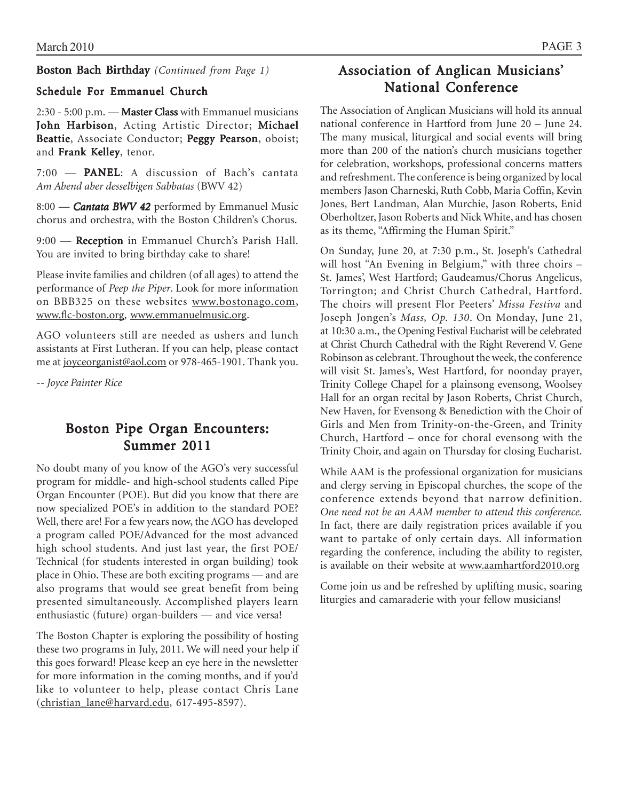Boston Bach Birthday *(Continued from Page 1)*

#### Schedule For Emmanuel Church

 $2:30 - 5:00$  p.m.  $-$  Master Class with Emmanuel musicians John Harbison, Acting Artistic Director; Michael Beattie, Associate Conductor; Peggy Pearson, oboist; and Frank Kelley, tenor.

 $7:00$  - PANEL: A discussion of Bach's cantata *Am Abend aber desselbigen Sabbatas* (BWV 42)

8:00 — *Cantata BWV 42* performed by Emmanuel Music chorus and orchestra, with the Boston Children's Chorus.

9:00 — Reception in Emmanuel Church's Parish Hall. You are invited to bring birthday cake to share!

Please invite families and children (of all ages) to attend the performance of *Peep the Piper*. Look for more information on BBB325 on these websites www.bostonago.com, www.flc-boston.org, www.emmanuelmusic.org.

AGO volunteers still are needed as ushers and lunch assistants at First Lutheran. If you can help, please contact me at joyceorganist@aol.com or 978-465-1901. Thank you.

*-- Joyce Painter Rice*

# Boston Pipe Organ Encounters: Summer 2011

No doubt many of you know of the AGO's very successful program for middle- and high-school students called Pipe Organ Encounter (POE). But did you know that there are now specialized POE's in addition to the standard POE? Well, there are! For a few years now, the AGO has developed a program called POE/Advanced for the most advanced high school students. And just last year, the first POE/ Technical (for students interested in organ building) took place in Ohio. These are both exciting programs — and are also programs that would see great benefit from being presented simultaneously. Accomplished players learn enthusiastic (future) organ-builders — and vice versa!

The Boston Chapter is exploring the possibility of hosting these two programs in July, 2011. We will need your help if this goes forward! Please keep an eye here in the newsletter for more information in the coming months, and if you'd like to volunteer to help, please contact Chris Lane (christian\_lane@harvard.edu, 617-495-8597).

# Association of Anglican Musicians' National Conference

The Association of Anglican Musicians will hold its annual national conference in Hartford from June 20 – June 24. The many musical, liturgical and social events will bring more than 200 of the nation's church musicians together for celebration, workshops, professional concerns matters and refreshment. The conference is being organized by local members Jason Charneski, Ruth Cobb, Maria Coffin, Kevin Jones, Bert Landman, Alan Murchie, Jason Roberts, Enid Oberholtzer, Jason Roberts and Nick White, and has chosen as its theme, "Affirming the Human Spirit."

On Sunday, June 20, at 7:30 p.m., St. Joseph's Cathedral will host "An Evening in Belgium," with three choirs -St. James', West Hartford; Gaudeamus/Chorus Angelicus, Torrington; and Christ Church Cathedral, Hartford. The choirs will present Flor Peeters' *Missa Festiva* and Joseph Jongen's *Mass, Op. 130*. On Monday, June 21, at 10:30 a.m., the Opening Festival Eucharist will be celebrated at Christ Church Cathedral with the Right Reverend V. Gene Robinson as celebrant. Throughout the week, the conference will visit St. James's, West Hartford, for noonday prayer, Trinity College Chapel for a plainsong evensong, Woolsey Hall for an organ recital by Jason Roberts, Christ Church, New Haven, for Evensong & Benediction with the Choir of Girls and Men from Trinity-on-the-Green, and Trinity Church, Hartford – once for choral evensong with the Trinity Choir, and again on Thursday for closing Eucharist.

While AAM is the professional organization for musicians and clergy serving in Episcopal churches, the scope of the conference extends beyond that narrow definition. *One need not be an AAM member to attend this conference.* In fact, there are daily registration prices available if you want to partake of only certain days. All information regarding the conference, including the ability to register, is available on their website at www.aamhartford2010.org

Come join us and be refreshed by uplifting music, soaring liturgies and camaraderie with your fellow musicians!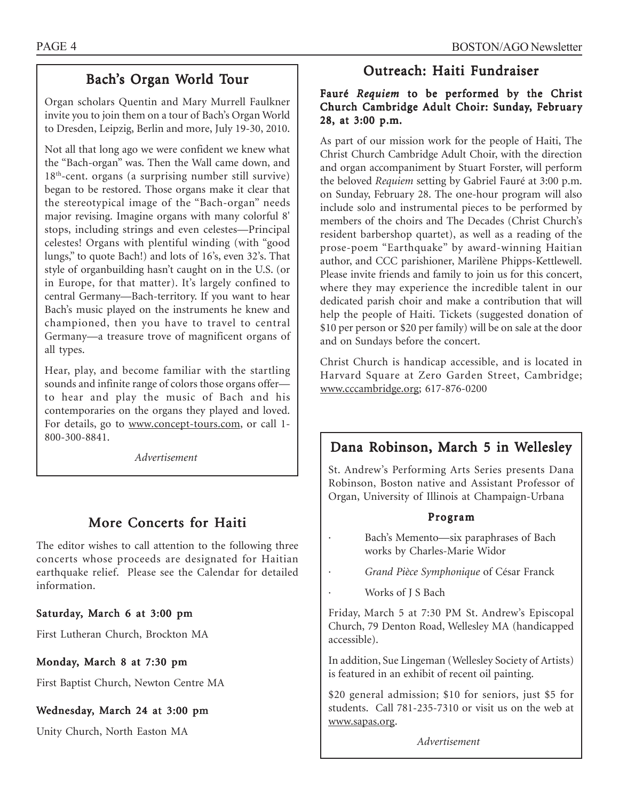# Bach's Organ World Tour

Organ scholars Quentin and Mary Murrell Faulkner invite you to join them on a tour of Bach's Organ World to Dresden, Leipzig, Berlin and more, July 19-30, 2010.

Not all that long ago we were confident we knew what the "Bach-organ" was. Then the Wall came down, and 18th-cent. organs (a surprising number still survive) began to be restored. Those organs make it clear that the stereotypical image of the "Bach-organ" needs major revising. Imagine organs with many colorful 8' stops, including strings and even celestes—Principal celestes! Organs with plentiful winding (with "good lungs," to quote Bach!) and lots of 16's, even 32's. That style of organbuilding hasn't caught on in the U.S. (or in Europe, for that matter). It's largely confined to central Germany—Bach-territory. If you want to hear Bach's music played on the instruments he knew and championed, then you have to travel to central Germany—a treasure trove of magnificent organs of all types.

Hear, play, and become familiar with the startling sounds and infinite range of colors those organs offer to hear and play the music of Bach and his contemporaries on the organs they played and loved. For details, go to www.concept-tours.com, or call 1- 800-300-8841.

*Advertisement*

# More Concerts for Haiti

The editor wishes to call attention to the following three concerts whose proceeds are designated for Haitian earthquake relief. Please see the Calendar for detailed information.

#### Saturday, March 6 at 3:00 pm

First Lutheran Church, Brockton MA

#### Monday, March 8 at 7:30 pm

First Baptist Church, Newton Centre MA

#### Wednesday, March 24 at 3:00 pm

Unity Church, North Easton MA

# Outreach: Haiti Fundraiser

#### Fauré *Requiem* to be performed by the Christ Church Cambridge Adult Choir: Sunday, February 28, at 3:00 p.m.

As part of our mission work for the people of Haiti, The Christ Church Cambridge Adult Choir, with the direction and organ accompaniment by Stuart Forster, will perform the beloved *Requiem* setting by Gabriel Fauré at 3:00 p.m. on Sunday, February 28. The one-hour program will also include solo and instrumental pieces to be performed by members of the choirs and The Decades (Christ Church's resident barbershop quartet), as well as a reading of the prose-poem "Earthquake" by award-winning Haitian author, and CCC parishioner, Marilène Phipps-Kettlewell. Please invite friends and family to join us for this concert, where they may experience the incredible talent in our dedicated parish choir and make a contribution that will help the people of Haiti. Tickets (suggested donation of \$10 per person or \$20 per family) will be on sale at the door and on Sundays before the concert.

Christ Church is handicap accessible, and is located in Harvard Square at Zero Garden Street, Cambridge; www.cccambridge.org; 617-876-0200

# Dana Robinson, March 5 in Wellesley

St. Andrew's Performing Arts Series presents Dana Robinson, Boston native and Assistant Professor of Organ, University of Illinois at Champaign-Urbana

#### Program

- Bach's Memento—six paraphrases of Bach works by Charles-Marie Widor
- · *Grand Pièce Symphonique* of César Franck
- Works of I S Bach

Friday, March 5 at 7:30 PM St. Andrew's Episcopal Church, 79 Denton Road, Wellesley MA (handicapped accessible).

In addition, Sue Lingeman (Wellesley Society of Artists) is featured in an exhibit of recent oil painting.

\$20 general admission; \$10 for seniors, just \$5 for students. Call 781-235-7310 or visit us on the web at www.sapas.org.

*Advertisement*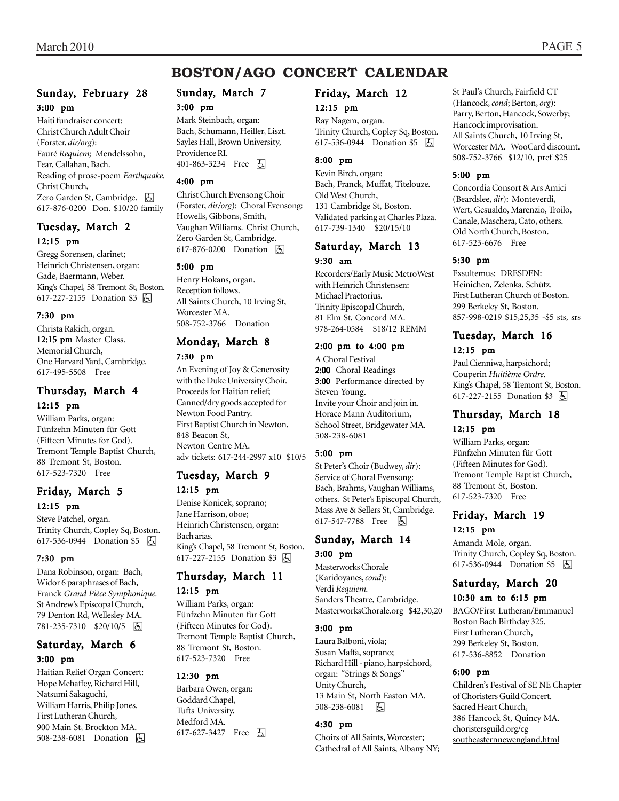# **BOSTON/AGO CONCERT CALENDAR**

#### Sunday, February 28 3:00 pm

Haiti fundraiser concert: Christ Church Adult Choir (Forster, *dir/org*): Fauré *Requiem;* Mendelssohn, Fear, Callahan, Bach. Reading of prose-poem *Earthquake.* Christ Church, Zero Garden St, Cambridge. **固** 617-876-0200 Don. \$10/20 family

#### Tuesday, March 2 12:15 pm

Gregg Sorensen, clarinet; Heinrich Christensen, organ: Gade, Baermann, Weber. King's Chapel, 58 Tremont St, Boston. 617-227-2155 Donation \$3 因

#### 7:30 pm

Christa Rakich, organ. 12:15 pm Master Class. Memorial Church, One Harvard Yard, Cambridge. 617-495-5508 Free

#### Thursday, March 4 12:15 pm

William Parks, organ: Fünfzehn Minuten für Gott (Fifteen Minutes for God). Tremont Temple Baptist Church, 88 Tremont St, Boston. 617-523-7320 Free

#### Friday, March 5 12:15 pm

Steve Patchel, organ. Trinity Church, Copley Sq, Boston. 617-536-0944 Donation \$5 | A

#### 7:30 pm

Dana Robinson, organ: Bach, Widor 6 paraphrases of Bach, Franck *Grand Pièce Symphonique.* St Andrew's Episcopal Church, 79 Denton Rd, Wellesley MA. 781-235-7310 \$20/10/5  $\boxed{6}$ 

#### Saturday, March 6 3:00 pm

Haitian Relief Organ Concert: Hope Mehaffey, Richard Hill, Natsumi Sakaguchi, William Harris, Philip Jones. First Lutheran Church, 900 Main St, Brockton MA. 508-238-6081 Donation  $\Box$ 

### Sunday, March 7

#### 3:00 pm

Mark Steinbach, organ: Bach, Schumann, Heiller, Liszt. Sayles Hall, Brown University, Providence RI. 401-863-3234 Free **b** 

#### 4:00 pm

Christ Church Evensong Choir (Forster, *dir/org*): Choral Evensong: Howells, Gibbons, Smith, Vaughan Williams. Christ Church, Zero Garden St, Cambridge. 617-876-0200 Donation **b** 

#### 5:00 pm

Henry Hokans, organ. Reception follows. All Saints Church, 10 Irving St, Worcester MA. 508-752-3766 Donation

# Monday, March 8

#### 7:30 pm

An Evening of Joy & Generosity with the Duke University Choir. Proceeds for Haitian relief; Canned/dry goods accepted for Newton Food Pantry. First Baptist Church in Newton, 848 Beacon St, Newton Centre MA. adv tickets: 617-244-2997 x10 \$10/5

# Tuesday, March 9

#### 12:15 pm

Denise Konicek, soprano; Jane Harrison, oboe; Heinrich Christensen, organ: Bach arias. King's Chapel, 58 Tremont St, Boston. 617-227-2155 Donation \$3 因

#### Thursday, March 11

#### 12:15 pm

William Parks, organ: Fünfzehn Minuten für Gott (Fifteen Minutes for God). Tremont Temple Baptist Church, 88 Tremont St, Boston. 617-523-7320 Free

#### 12:30 pm

Barbara Owen, organ: Goddard Chapel, Tufts University, Medford MA. 617-627-3427 Free 因

#### Friday, March 12

#### 12:15 pm

Ray Nagem, organ. Trinity Church, Copley Sq, Boston. 617-536-0944 Donation \$5 **b** 

#### 8:00 pm

Kevin Birch, organ: Bach, Franck, Muffat, Titelouze. Old West Church, 131 Cambridge St, Boston. Validated parking at Charles Plaza. 617-739-1340 \$20/15/10

#### Saturday, March 13 9:30 am

Recorders/Early Music MetroWest with Heinrich Christensen: Michael Praetorius. Trinity Episcopal Church, 81 Elm St, Concord MA. 978-264-0584 \$18/12 REMM

#### 2:00 pm to 4:00 pm

A Choral Festival 2:00 Choral Readings 3:00 Performance directed by Steven Young. Invite your Choir and join in. Horace Mann Auditorium, School Street, Bridgewater MA. 508-238-6081

#### 5:00 pm

St Peter's Choir (Budwey, *dir*): Service of Choral Evensong: Bach, Brahms, Vaughan Williams, others. St Peter's Episcopal Church, Mass Ave & Sellers St, Cambridge. 617-547-7788 Free **b** 

# Sunday, March 14

#### 3:00 pm

Masterworks Chorale (Karidoyanes, *cond*): Verdi *Requiem.* Sanders Theatre, Cambridge. MasterworksChorale.org \$42,30,20

#### 3:00 pm

Laura Balboni, viola; Susan Maffa, soprano; Richard Hill - piano, harpsichord, organ: "Strings & Songs" Unity Church, 13 Main St, North Easton MA. 508-238-6081 因

#### 4:30 pm

Choirs of All Saints, Worcester; Cathedral of All Saints, Albany NY; St Paul's Church, Fairfield CT (Hancock, *cond*; Berton, *org*): Parry, Berton, Hancock, Sowerby; Hancock improvisation. All Saints Church, 10 Irving St, Worcester MA. WooCard discount. 508-752-3766 \$12/10, pref \$25

#### 5:00 pm

Concordia Consort & Ars Amici (Beardslee, *dir*): Monteverdi, Wert, Gesualdo, Marenzio, Troilo, Canale, Maschera, Cato, others. Old North Church, Boston. 617-523-6676 Free

#### 5:30 pm

Exsultemus: DRESDEN: Heinichen, Zelenka, Schütz. First Lutheran Church of Boston. 299 Berkeley St, Boston. 857-998-0219 \$15,25,35 -\$5 sts, srs

#### Tuesday, March 16 12:15 pm

Paul Cienniwa, harpsichord; Couperin *Huitième Ordre.* King's Chapel, 58 Tremont St, Boston. 617-227-2155 Donation \$3 **A** 

#### Thursday, March 18 12:15 pm

William Parks, organ: Fünfzehn Minuten für Gott (Fifteen Minutes for God). Tremont Temple Baptist Church, 88 Tremont St, Boston. 617-523-7320 Free

#### Friday, March 19 12:15 pm

Amanda Mole, organ. Trinity Church, Copley Sq, Boston. 617-536-0944 Donation \$5 | 4

# Saturday, March 20

#### 10:30 am to 6:15 pm

BAGO/First Lutheran/Emmanuel Boston Bach Birthday 325. First Lutheran Church, 299 Berkeley St, Boston. 617-536-8852 Donation

#### 6:00 pm

Children's Festival of SE NE Chapter of Choristers Guild Concert. Sacred Heart Church, 386 Hancock St, Quincy MA. choristersguild.org/cg southeasternnewengland.html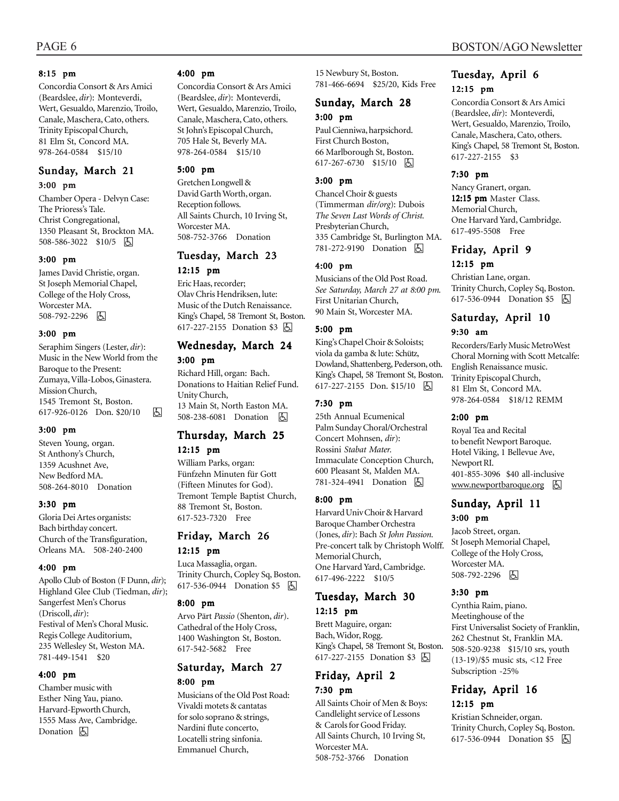#### 8:15 pm

Concordia Consort & Ars Amici (Beardslee, *dir*): Monteverdi, Wert, Gesualdo, Marenzio, Troilo, Canale, Maschera, Cato, others. Trinity Episcopal Church, 81 Elm St, Concord MA. 978-264-0584 \$15/10

#### Sunday, March 21 3:00 pm

Chamber Opera - Delvyn Case: The Prioress's Tale. Christ Congregational, 1350 Pleasant St, Brockton MA. 508-586-3022 \$10/5 | 人

#### 3:00 pm

James David Christie, organ. St Joseph Memorial Chapel, College of the Holy Cross, Worcester MA. 508-792-2296 因

#### 3:00 pm

Seraphim Singers (Lester, *dir*): Music in the New World from the Baroque to the Present: Zumaya, Villa-Lobos, Ginastera. Mission Church, 1545 Tremont St, Boston. 617-926-0126 Don. \$20/10 **h** 

#### 3:00 pm

Steven Young, organ. St Anthony's Church, 1359 Acushnet Ave, New Bedford MA. 508-264-8010 Donation

#### 3:30 pm

Gloria Dei Artes organists: Bach birthday concert. Church of the Transfiguration, Orleans MA. 508-240-2400

#### 4:00 pm

Apollo Club of Boston (F Dunn, *dir*); Highland Glee Club (Tiedman, *dir*); Sangerfest Men's Chorus (Driscoll, *dir*): Festival of Men's Choral Music. Regis College Auditorium, 235 Wellesley St, Weston MA. 781-449-1541 \$20

#### 4:00 pm

Chamber music with Esther Ning Yau, piano. Harvard-Epworth Church, 1555 Mass Ave, Cambridge. Donation  $\boxed{6}$ 

#### 4:00 pm

Concordia Consort & Ars Amici (Beardslee, *dir*): Monteverdi, Wert, Gesualdo, Marenzio, Troilo, Canale, Maschera, Cato, others. St John's Episcopal Church, 705 Hale St, Beverly MA. 978-264-0584 \$15/10

#### 5:00 pm

Gretchen Longwell & David Garth Worth, organ. Reception follows. All Saints Church, 10 Irving St, Worcester MA. 508-752-3766 Donation

#### Tuesday, March 23 12:15 pm

Eric Haas, recorder; Olav Chris Hendriksen, lute: Music of the Dutch Renaissance. King's Chapel, 58 Tremont St, Boston. 617-227-2155 Donation \$3 **A** 

#### Wednesday, March 24 3:00 pm

Richard Hill, organ: Bach. Donations to Haitian Relief Fund. Unity Church, 13 Main St, North Easton MA. 508-238-6081 Donation **固** 

#### Thursday, March 25 12:15 pm

William Parks, organ: Fünfzehn Minuten für Gott (Fifteen Minutes for God). Tremont Temple Baptist Church, 88 Tremont St, Boston. 617-523-7320 Free

# Friday, March 26

#### 12:15 pm

Luca Massaglia, organ. Trinity Church, Copley Sq, Boston. 617-536-0944 Donation \$5 **b** 

#### 8:00 pm

Arvo Pärt *Passio* (Shenton, *dir*). Cathedral of the Holy Cross, 1400 Washington St, Boston. 617-542-5682 Free

#### Saturday, March 27 8:00 pm

Musicians of the Old Post Road: Vivaldi motets & cantatas for solo soprano & strings, Nardini flute concerto, Locatelli string sinfonia. Emmanuel Church,

15 Newbury St, Boston. 781-466-6694 \$25/20, Kids Free

#### Sunday, March 28 3:00 pm

Paul Cienniwa, harpsichord. First Church Boston, 66 Marlborough St, Boston. 617-267-6730 \$15/10 | 5

#### 3:00 pm

Chancel Choir & guests (Timmerman *dir/org*): Dubois *The Seven Last Words of Christ.* Presbyterian Church, 335 Cambridge St, Burlington MA. 781-272-9190 Donation **b** 

#### 4:00 pm

Musicians of the Old Post Road. *See Saturday, March 27 at 8:00 pm.* First Unitarian Church, 90 Main St, Worcester MA.

#### 5:00 pm

King's Chapel Choir & Soloists; viola da gamba & lute: Schütz, Dowland, Shattenberg, Pederson, oth. King's Chapel, 58 Tremont St, Boston. 617-227-2155 Don. \$15/10 | A

#### 7:30 pm

25th Annual Ecumenical Palm Sunday Choral/Orchestral Concert Mohnsen, *dir*): Rossini *Stabat Mater.* Immaculate Conception Church, 600 Pleasant St, Malden MA. 781-324-4941 Donation **b** 

#### 8:00 pm

Harvard Univ Choir & Harvard Baroque Chamber Orchestra (Jones, *dir*): Bach *St John Passion.* Pre-concert talk by Christoph Wolff. Memorial Church, One Harvard Yard, Cambridge. 617-496-2222 \$10/5

#### Tuesday, March 30

#### 12:15 pm

Brett Maguire, organ: Bach, Widor, Rogg. King's Chapel, 58 Tremont St, Boston. 617-227-2155 Donation \$3 **A** 

#### Friday, April 2 7:30 pm

All Saints Choir of Men & Boys: Candlelight service of Lessons & Carols for Good Friday. All Saints Church, 10 Irving St, Worcester MA. 508-752-3766 Donation

#### Tuesday, April 6 12:15 pm

Concordia Consort & Ars Amici (Beardslee, *dir*): Monteverdi, Wert, Gesualdo, Marenzio, Troilo, Canale, Maschera, Cato, others. King's Chapel, 58 Tremont St, Boston. 617-227-2155 \$3

#### 7:30 pm

Nancy Granert, organ. 12:15 pm Master Class. Memorial Church, One Harvard Yard, Cambridge. 617-495-5508 Free

#### Friday, April 9 12:15 pm

Christian Lane, organ. Trinity Church, Copley Sq, Boston. 617-536-0944 Donation \$5 | A

#### Saturday, April 10 9:30 am

Recorders/Early Music MetroWest Choral Morning with Scott Metcalfe: English Renaissance music. Trinity Episcopal Church, 81 Elm St, Concord MA. 978-264-0584 \$18/12 REMM

#### 2:00 pm

Royal Tea and Recital to benefit Newport Baroque. Hotel Viking, 1 Bellevue Ave, Newport RI. 401-855-3096 \$40 all-inclusive  $www.newportbaroque.org$   $\Box$ 

#### Sunday, April 11 3:00 pm

Jacob Street, organ. St Joseph Memorial Chapel, College of the Holy Cross, Worcester MA. 508-792-2296 因

#### 3:30 pm

Cynthia Raim, piano. Meetinghouse of the First Universalist Society of Franklin, 262 Chestnut St, Franklin MA. 508-520-9238 \$15/10 srs, youth (13-19)/\$5 music sts, <12 Free Subscription -25%

#### Friday, April 16 12:15 pm

Kristian Schneider, organ. Trinity Church, Copley Sq, Boston. 617-536-0944 Donation \$5  $\boxed{6}$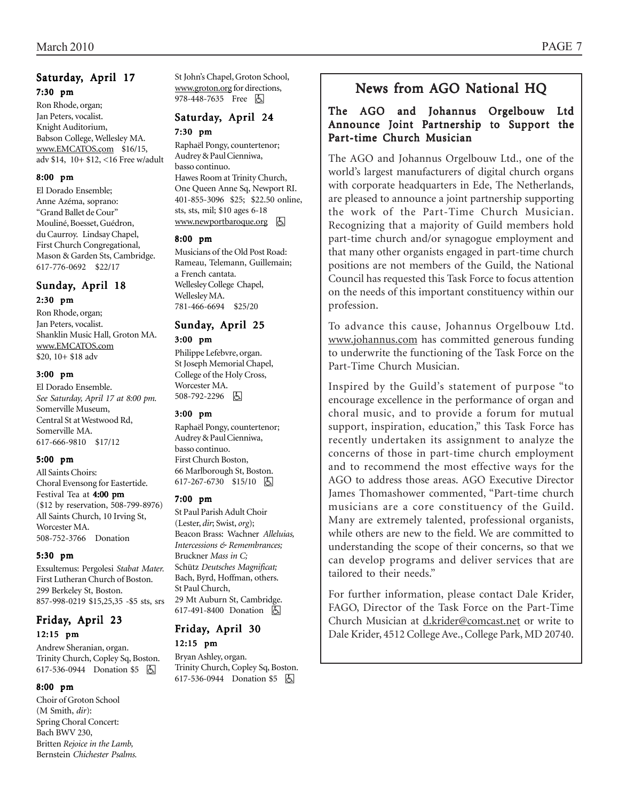#### Saturday, April 17 7:30 pm

Ron Rhode, organ; Jan Peters, vocalist. Knight Auditorium, Babson College, Wellesley MA. www.EMCATOS.com \$16/15, adv \$14, 10+ \$12, <16 Free w/adult

#### 8:00 pm

El Dorado Ensemble; Anne Azéma, soprano: "Grand Ballet de Cour" Mouliné, Boesset, Guédron, du Caurroy. Lindsay Chapel, First Church Congregational, Mason & Garden Sts, Cambridge. 617-776-0692 \$22/17

#### Sunday, April 18 2:30 pm

Ron Rhode, organ; Jan Peters, vocalist. Shanklin Music Hall, Groton MA. www.EMCATOS.com \$20, 10+ \$18 adv

#### 3:00 pm

El Dorado Ensemble. *See Saturday, April 17 at 8:00 pm.* Somerville Museum, Central St at Westwood Rd, Somerville MA. 617-666-9810 \$17/12

#### 5:00 pm

All Saints Choirs: Choral Evensong for Eastertide. Festival Tea at 4:00 pm (\$12 by reservation, 508-799-8976) All Saints Church, 10 Irving St, Worcester MA. 508-752-3766 Donation

#### 5:30 pm

Exsultemus: Pergolesi *Stabat Mater.* First Lutheran Church of Boston. 299 Berkeley St, Boston. 857-998-0219 \$15,25,35 -\$5 sts, srs

#### Friday, April 23 12:15 pm

Andrew Sheranian, organ. Trinity Church, Copley Sq, Boston. 617-536-0944 Donation \$5 h

#### 8:00 pm

Choir of Groton School (M Smith, *dir*): Spring Choral Concert: Bach BWV 230, Britten *Rejoice in the Lamb,* Bernstein *Chichester Psalms.*

St John's Chapel, Groton School, www.groton.org for directions, 978-448-7635 Free 因

#### Saturday, April 24 7:30 pm

Raphaël Pongy, countertenor; Audrey & Paul Cienniwa, basso continuo. Hawes Room at Trinity Church, One Queen Anne Sq, Newport RI. 401-855-3096 \$25; \$22.50 online, sts, sts, mil; \$10 ages 6-18 www.newportbaroque.org &

#### 8:00 pm

Musicians of the Old Post Road: Rameau, Telemann, Guillemain; a French cantata. Wellesley College Chapel, Wellesley MA. 781-466-6694 \$25/20

#### Sunday, April 25 3:00 pm

Philippe Lefebvre, organ. St Joseph Memorial Chapel,

College of the Holy Cross, Worcester MA. 508-792-2296 | 图

#### 3:00 pm

Raphaël Pongy, countertenor; Audrey & Paul Cienniwa, basso continuo. First Church Boston, 66 Marlborough St, Boston. 617-267-6730 \$15/10  $\Box$ 

#### 7:00 pm

St Paul Parish Adult Choir (Lester, *dir*; Swist, *org*); Beacon Brass: Wachner *Alleluias, Intercessions & Remembrances;* Bruckner *Mass in C;* Schütz *Deutsches Magnificat;* Bach, Byrd, Hoffman, others. St Paul Church, 29 Mt Auburn St, Cambridge. 617-491-8400 Donation **A** 

#### Friday, April 30 12:15 pm

Bryan Ashley, organ. Trinity Church, Copley Sq, Boston. 617-536-0944 Donation \$5 因

# News from AGO National HQ

#### The AGO and Johannus Orgelbouw Ltd Announce Joint Partnership to Support the Part-time Church Musician

The AGO and Johannus Orgelbouw Ltd., one of the world's largest manufacturers of digital church organs with corporate headquarters in Ede, The Netherlands, are pleased to announce a joint partnership supporting the work of the Part-Time Church Musician. Recognizing that a majority of Guild members hold part-time church and/or synagogue employment and that many other organists engaged in part-time church positions are not members of the Guild, the National Council has requested this Task Force to focus attention on the needs of this important constituency within our profession.

To advance this cause, Johannus Orgelbouw Ltd. www.johannus.com has committed generous funding to underwrite the functioning of the Task Force on the Part-Time Church Musician.

Inspired by the Guild's statement of purpose "to encourage excellence in the performance of organ and choral music, and to provide a forum for mutual support, inspiration, education," this Task Force has recently undertaken its assignment to analyze the concerns of those in part-time church employment and to recommend the most effective ways for the AGO to address those areas. AGO Executive Director James Thomashower commented, "Part-time church musicians are a core constituency of the Guild. Many are extremely talented, professional organists, while others are new to the field. We are committed to understanding the scope of their concerns, so that we can develop programs and deliver services that are tailored to their needs."

For further information, please contact Dale Krider, FAGO, Director of the Task Force on the Part-Time Church Musician at d.krider@comcast.net or write to Dale Krider, 4512 College Ave., College Park, MD 20740.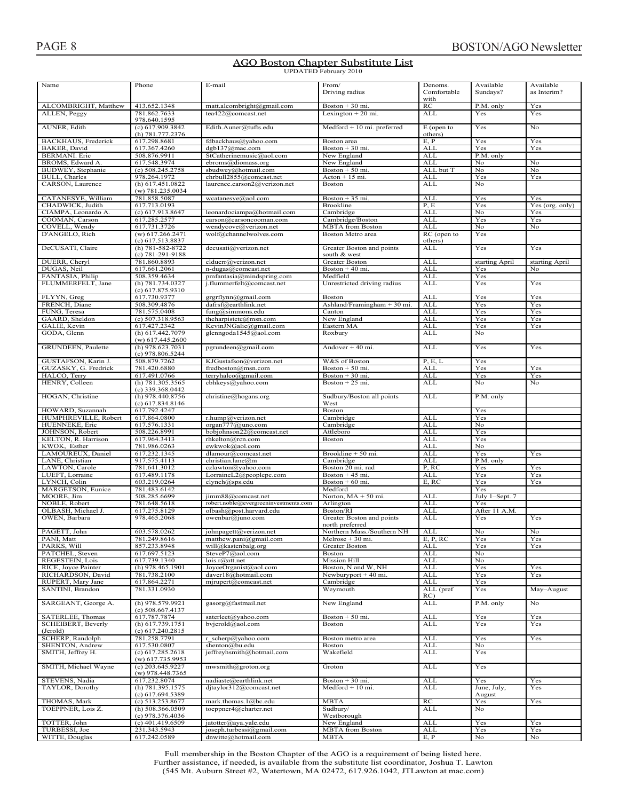# **AGO Boston Chapter Substitute List**<br>UPDATED February 2010

| Name                        | Phone                                    | E-mail                                | From/<br>Driving radius                      | Denoms.<br>Comfortable | Available<br>Sundays? | Available<br>as Interim? |
|-----------------------------|------------------------------------------|---------------------------------------|----------------------------------------------|------------------------|-----------------------|--------------------------|
|                             |                                          |                                       |                                              | with                   |                       |                          |
| ALCOMBRIGHT, Matthew        | 413.652.1348                             | matt.alcombright@gmail.com            | Boston $+30$ mi.                             | RC                     | P.M. only             | Yes                      |
| ALLEN, Peggy                | 781.862.7633                             | tea422@comcast.net                    | Lexington $+20$ mi.                          | <b>ALL</b>             | Yes                   | Yes                      |
|                             | 978.640.1595                             |                                       |                                              |                        |                       |                          |
| AUNER, Edith                | (c) 617.909.3842<br>(h) 781,777,2376     | Edith.Auner@tufts.edu                 | $Medford + 10 mi.$ preferred                 | E (open to<br>others)  | Yes                   | No                       |
| <b>BACKHAUS</b> , Frederick |                                          |                                       |                                              | E, P                   |                       |                          |
|                             | 617.298.8681                             | fdbackhaus@yahoo.com                  | Boston area                                  |                        | Yes                   | Yes                      |
| <b>BAKER</b> , David        | 617.367.4260                             | dgb137@mac.com                        | Boston + 30 mi.                              | <b>ALL</b>             | Yes                   | Yes                      |
| <b>BERMANI</b> . Eric       | 508.876.9911                             | StCatherinemusic@aol.com              | New England                                  | <b>ALL</b>             | P.M. only             |                          |
| BROMS, Edward A.            | 617.548.3974                             | ebroms@diomass.org                    | New England                                  | ALL                    | No                    | No                       |
| BUDWEY, Stephanie           | $(c)$ 508.245.2758                       | sbudwey@hotmail.com                   | Boston $+50$ mi.                             | ALL but T              | No                    | $\overline{N_{O}}$       |
| BULL, Charles               | 978.264.1972                             | chrbull2855@comcast.net               | $Action + 15 mi.$                            | <b>ALL</b>             | Yes                   | Yes                      |
| CARSON, Laurence            | $(h)$ 617.451.0822                       | laurence.carson2@verizon.net          | <b>Boston</b>                                | ALL                    | No                    |                          |
|                             | $(w)$ 781.235.0034                       |                                       |                                              |                        |                       |                          |
| CATANESYE, William          | 781.858.5087                             | wcatanesye@aol.com                    | Boston + 35 mi.                              | <b>ALL</b>             | Yes                   | Yes                      |
| CHADWICK, Judith            | 617.713.0193                             |                                       | Brookline                                    | P.E                    | Yes                   | Yes (org. only)          |
| CIAMPA, Leonardo A.         | (c) 617.913.8647                         | leonardociampa@hotmail.com            | Cambridge                                    | <b>ALL</b>             | No                    | Yes                      |
| COOMAN, Carson              | 617.285.2577                             | carson@carsoncooman.com               | Cambridge/Boston                             | <b>ALL</b>             | Yes                   | Yes                      |
| COVELL, Wendy               | 617.731.3726                             | wendycove@verizon.net                 | <b>MBTA</b> from Boston                      | ALL                    | No                    | No                       |
| D'ANGELO, Rich              | $(w)$ 617.266.2471                       | wolf@channelwolves.com                | Boston Metro area                            | RC (open to            | Yes                   |                          |
|                             | (c) 617.513.8837                         |                                       |                                              | others)                |                       |                          |
| DeCUSATI, Claire            | (h) 781-582-8722<br>$(c)$ 781-291-9188   | decusati@verizon.net                  | Greater Boston and points<br>south & west    | ALL                    | Yes                   | Yes                      |
| DUERR, Cheryl               | 781.860.8893                             | clduerr@verizon.net                   | Greater Boston                               | <b>ALL</b>             | starting April        | starting April           |
|                             |                                          |                                       | Boston $+40$ mi.                             | <b>ALL</b>             |                       |                          |
| DUGAS, Neil                 | 617.661.2061                             | n-dugas@comcast.net                   |                                              |                        | Yes                   | No                       |
| FANTASIA, Philip            | 508.359.4634                             | pmfantasia@mindspring.com             | Medfield                                     | <b>ALL</b>             | Yes                   |                          |
| FLUMMERFELT, Jane           | (h) 781,734,0327<br>(c) 617.875.9310     | j.flummerfelt@comcast.net             | Unrestricted driving radius                  | ALL                    | Yes                   | Yes                      |
| FLYYN, Greg                 | 617.730.9377                             | grgrflynn@gmail.com                   | Boston                                       | <b>ALL</b>             | Yes                   | Yes                      |
| FRENCH, Diane               | 508.309.4876                             | dafrsf@earthlink.net                  | Ashland/Framingham $+30$ mi.                 | <b>ALL</b>             | Yes                   | Yes                      |
| FUNG, Teresa                | 781.575.0408                             | $f$ ung@simmons.edu                   | Canton                                       | ALL                    | Yes                   |                          |
|                             |                                          |                                       |                                              |                        |                       | Yes                      |
| GAARD, Sheldon              | $(c)$ 507.318.9563                       | the harpistetc@msn.com                | New England                                  | <b>ALL</b>             | Yes                   | Yes                      |
| GALIE, Kevin                | 617.427.2342                             | KevinJNGalie@gmail.com                | Eastern MA                                   | ALL                    | Yes                   | Yes                      |
| GODA, Glenn                 | (h) 617.442.7079<br>$(w)$ 617.445.2600   | glenngoda1545@aol.com                 | Roxbury                                      | <b>ALL</b>             | No                    |                          |
| GRUNDEEN, Paulette          | (h) $978.\overline{623.7031}$            | $p$ grundeen@gmail.com                | Andover $+40$ mi.                            | <b>ALL</b>             | Yes                   | Yes                      |
|                             | $(c)$ 978.806.5244                       |                                       |                                              |                        |                       |                          |
| GUSTAFSON, Karin J.         | 508.879.7262                             | KJGustafson@verizon.net               | W&S of Boston                                | P, E, L                | Yes                   |                          |
| GUZASKY, G. Fredrick        | 781.420.6880                             | fredboston@msn.com                    | Boston + 50 mi.                              | ALL                    | Yes                   | Yes                      |
| HALCO, Terry                | 617.491.0766                             | terryhalco@gmail.com                  | Boston $+30$ mi.                             | ALL                    | Yes                   | Yes                      |
| HENRY, Colleen              | $(h)$ 781.305.3565                       | cbhkeys@yahoo.com                     | Boston $+25$ mi.                             | <b>ALL</b>             | No                    | No                       |
|                             | $(c)$ 339.368.0442                       |                                       |                                              |                        |                       |                          |
| HOGAN, Christine            | (h) 978.440.8756<br>(c) 617.834.8146     | christine@hogans.org                  | Sudbury/Boston all points<br>West            | ALL                    | P.M. only             |                          |
| HOWARD, Suzannah            | 617.792.4247                             |                                       | Boston                                       |                        | Yes                   |                          |
| HUMPHREVILLE, Robert        | 617.864.0800                             | r.hump@verizon.net                    | Cambridge                                    | ALL                    | Yes                   |                          |
| HUENNEKE, Eric              | 617.576.1331                             | organ777@juno.com                     | Cambridge                                    | <b>ALL</b>             | No                    |                          |
| JOHNSON, Robert             | 508.226.8991                             | bobjohnson22@comcast.net              | Attleboro                                    | <b>ALL</b>             | Yes                   |                          |
|                             |                                          |                                       |                                              |                        |                       |                          |
| KELTON, R. Harrison         | 617.964.3413                             | rhkelton@rcn.com                      | Boston                                       | ALL                    | Yes                   |                          |
| KWOK, Esther                | 781.986.0263                             | ewkwok@aol.com                        |                                              | <b>ALL</b>             | No                    |                          |
| LAMOUREUX, Daniel           | 617.232.1345                             | dlamour@comcast.net                   | Brookline + 50 mi.                           | <b>ALL</b>             | Yes                   | Yes                      |
| LANE, Christian             | 917.575.4113                             | christian.lane@m                      | Cambridge                                    | <b>ALL</b>             | P.M. only             |                          |
| LAWTON, Carole              | 781.641.3012                             | czlawton@yahoo.com                    | Boston 20 mi. rad                            | P, RC                  | Yes                   | Yes                      |
| LUEFT, Lorraine             | 617.489.1178                             | LorraineL2@peoplepc.com               | Boston + $45$ mi.                            | ALL                    | Yes                   | Yes                      |
| LYNCH, Colin                | 603.219.0264                             | clynch@sps.edu                        | Boston $+60$ mi.                             | E, RC                  | Yes                   | Yes                      |
| MARGETSON, Eunice           | 781.483.6142                             |                                       | Medford                                      |                        | Yes                   |                          |
|                             |                                          |                                       |                                              |                        |                       |                          |
| MOORE, Jim                  | 508.285.6699                             | jimm88@comcast.net                    | Norton, MA + 50 mi.                          | ALL                    | July 1-Sept. 7        |                          |
| NOBLE, Robert               | 781.648.5618                             | robert.noble@evergreeninvestments.com | Arlington                                    | <b>ALL</b>             | Yes                   |                          |
| OLBASH, Michael J.          | 617.275.8129                             | olbash@post.harvard.edu               | Boston/RI                                    | ALL                    | After 11 A.M.         |                          |
| OWEN, Barbara               | 978.465.2068                             | owenbar@juno.com                      | Greater Boston and points<br>north preferred | ALL                    | Yes                   | Yes                      |
|                             |                                          |                                       | Northern Mass./Southern NH                   |                        |                       |                          |
| PAGETT, John                | 603.578.0262                             | johnpagett@verizon.net                |                                              | ALL                    | No.                   | No.                      |
| PANI, Matt                  | 781.249.8616                             | matthew.pani@gmail.com                | Melrose $+30$ mi.                            | $E, P, R\overline{C}$  | Yes                   | Yes                      |
| PARKS, Will                 | 857.233.8948                             | will@kastenbalg.org                   | <b>Greater Boston</b>                        | ALL                    | Yes                   | Yes                      |
| PATCHEL, Steven             | 617.697.5123                             | SteveP7@aol.com                       | <b>Boston</b>                                | ALL                    | No                    |                          |
| REGESTEIN, Lois             | 617.739.1340                             | lois.r@att.net                        | <b>Mission Hill</b>                          | <b>ALL</b>             | No                    |                          |
| RICE, Joyce Painter         | (h) 978.465.1901                         | JoyceOrganist@aol.com                 | Boston, N and W, NH                          | <b>ALL</b>             | Yes                   | Yes                      |
| RICHARDSON, David           | 781.738.2100                             | daver18@hotmail.com                   | Newburyport + 40 mi.                         | ALL                    | Yes                   | Yes                      |
| RUPERT, Mary Jane           | 617.864.2271                             | mjrupert@comcast.net                  | Cambridge                                    | <b>ALL</b>             | Yes                   |                          |
| SANTINI, Brandon            | 781.331.0930                             |                                       | Weymouth                                     | ALL (pref              | Yes                   | May-August               |
|                             |                                          |                                       |                                              |                        |                       |                          |
| SARGEANT, George A.         | (h) 978.579.9921                         | gasorg@fastmail.net                   | New England                                  | RC)<br><b>ALL</b>      | P.M. only             | No                       |
|                             | $(c)$ 508.667.4137                       |                                       |                                              |                        |                       |                          |
| SATERLEE, Thomas            | 617.787.7874                             | saterleet@yahoo.com                   | Boston + 50 mi.                              | <b>ALL</b>             | Yes                   | Yes                      |
| SCHEIBERT, Beverly          | (h) 617.739.1751                         | bvjerold@aol.com                      | <b>Boston</b>                                | ALL                    | Yes                   | Yes                      |
| (Jerold)                    | (c) 617.240.2815                         |                                       |                                              |                        |                       |                          |
| SCHERP, Randolph            | 781.258.7791                             | r scherp@yahoo.com                    | Boston metro area                            | <b>ALL</b>             | Yes                   | Yes                      |
| SHENTON, Andrew             | 617.530.0807                             | shenton@bu.edu                        | Boston                                       | ALL                    | No                    |                          |
| SMITH, Jeffrey H.           | (c) 617.285.2618                         | jeffreyhsmith@hotmail.com             | Wakefield                                    | ALL                    | Yes                   |                          |
| SMITH, Michael Wayne        | $(w)$ 617.735.9953<br>$(c)$ 203.645.9227 | mwsmith@groton.org                    | Groton                                       | ALL                    | Yes                   |                          |
|                             | $(w)$ 978.448.7365                       |                                       |                                              |                        |                       |                          |
| STEVENS, Nadia              | 617.232.8074                             | nadiaste@earthlink.net                | Boston + 30 mi.                              | <b>ALL</b>             | Yes                   | Yes                      |
| TAYLOR, Dorothy             | (h) 781.395.1575                         | djtaylor312@comcast.net               | $Medford + 10 mi.$                           | ALL                    | June, July,           | Yes                      |
|                             | (c) 617.694.5389                         |                                       |                                              |                        | August                |                          |
| THOMAS, Mark                | $(c)$ 513.253.8677                       | mark.thomas.1@bc.edu                  | <b>MBTA</b>                                  | RC                     | Yes                   | Yes                      |
| TOEPPNER, Lois Z.           | $(h)$ 508.366.0509                       | toeppner4@charter.net                 | Sudbury/                                     | ALL                    | No                    |                          |
|                             | $(c)$ 978.376.4036                       |                                       | Westborough                                  |                        |                       |                          |
| TOTTER, John                | $(c)$ 401.419.6509                       | jatotter@aya.yale.edu                 | New England                                  | <b>ALL</b>             | Yes                   | Yes                      |
| TURBESSI, Joe               | 231.343.5943                             | joseph.turbessi@gmail.com             | <b>MBTA</b> from Boston                      | ALL                    | Yes                   | Yes                      |
| WITTE, Douglas              | 617.242.0589                             | dnwitte@hotmail.com                   | <b>MBTA</b>                                  | E, P                   |                       |                          |
|                             |                                          |                                       |                                              |                        | No                    | No                       |

Full membership in the Boston Chapter of the AGO is a requirement of being listed here. Further assistance, if needed, is available from the substitute list coordinator. Joshua T. Lawton  $(545 \text{ Mt}$ . Auburn Street #2, Watertown, MA 02472, 617.926.1042, JTLawton at mac.com)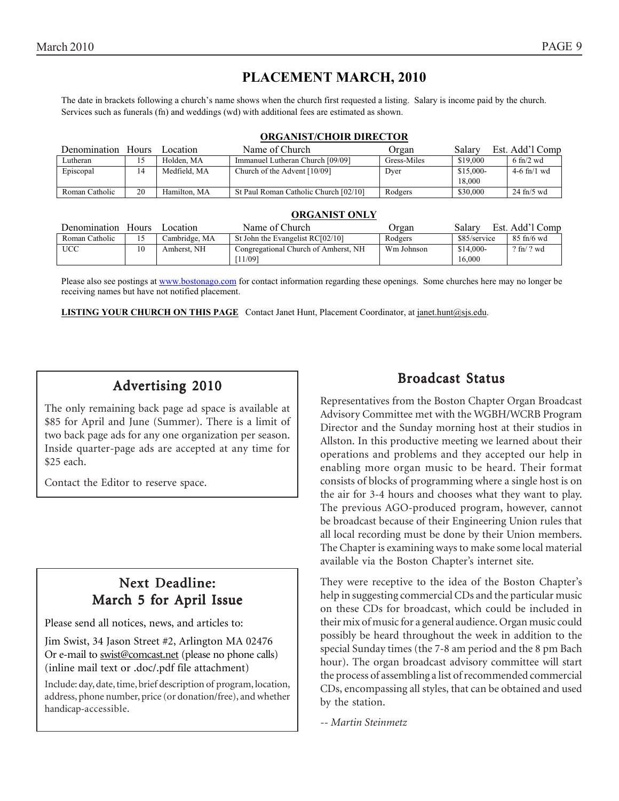# **PLACEMENT MARCH, 2010**

The date in brackets following a church's name shows when the church first requested a listing. Salary is income paid by the church. Services such as funerals (fn) and weddings (wd) with additional fees are estimated as shown.

| Denomination   | Hours | Location     | Name of Church                        | Organ       | Salary               | Est. Add'l Comp       |
|----------------|-------|--------------|---------------------------------------|-------------|----------------------|-----------------------|
| Lutheran       |       | Holden, MA   | Immanuel Lutheran Church [09/09]      | Gress-Miles | \$19,000             | $6 \text{ ft}$ /2 wd  |
| Episcopal      | 14    | Medfield, MA | Church of the Advent [10/09]          | Dyer        | $$15,000-$<br>18,000 | $4-6$ fn/1 wd         |
| Roman Catholic | 20    | Hamilton, MA | St Paul Roman Catholic Church [02/10] | Rodgers     | \$30,000             | $24 \text{ ft}$ /5 wd |

#### **ORGANIST/CHOIR DIRECTOR**

#### **ORGANIST ONLY**

| Denomination   | Hours | ocation       | Name of Church                       | Jrgan      | Salarv       | Est. Add'l Comp              |
|----------------|-------|---------------|--------------------------------------|------------|--------------|------------------------------|
| Roman Catholic | 15    | Cambridge. MA | St John the Evangelist RC[02/10]     | Rodgers    | \$85/service | $85 \text{ ft}/6 \text{ wd}$ |
| <b>UCC</b>     | 10    | Amherst. NH   | Congregational Church of Amherst, NH | Wm Johnson | \$14,000-    | $?$ fn/ $?$ wd               |
|                |       |               | 11/091                               |            | 16.000       |                              |

Please also see postings at www.bostonago.com for contact information regarding these openings. Some churches here may no longer be receiving names but have not notified placement.

**LISTING YOUR CHURCH ON THIS PAGE** Contact Janet Hunt, Placement Coordinator, at janet.hunt@sjs.edu.

# Advertising 2010

The only remaining back page ad space is available at \$85 for April and June (Summer). There is a limit of two back page ads for any one organization per season. Inside quarter-page ads are accepted at any time for \$25 each.

Contact the Editor to reserve space.

# Next Deadline: March 5 for April Issue

Please send all notices, news, and articles to:

Jim Swist, 34 Jason Street #2, Arlington MA 02476 Or e-mail to swist@comcast.net (please no phone calls) (inline mail text or .doc/.pdf file attachment)

Include: day, date, time, brief description of program, location, address, phone number, price (or donation/free), and whether handicap-accessible.

# **Broadcast Status**

Representatives from the Boston Chapter Organ Broadcast Advisory Committee met with the WGBH/WCRB Program Director and the Sunday morning host at their studios in Allston. In this productive meeting we learned about their operations and problems and they accepted our help in enabling more organ music to be heard. Their format consists of blocks of programming where a single host is on the air for 3-4 hours and chooses what they want to play. The previous AGO-produced program, however, cannot be broadcast because of their Engineering Union rules that all local recording must be done by their Union members. The Chapter is examining ways to make some local material available via the Boston Chapter's internet site.

They were receptive to the idea of the Boston Chapter's help in suggesting commercial CDs and the particular music on these CDs for broadcast, which could be included in their mix of music for a general audience. Organ music could possibly be heard throughout the week in addition to the special Sunday times (the 7-8 am period and the 8 pm Bach hour). The organ broadcast advisory committee will start the process of assembling a list of recommended commercial CDs, encompassing all styles, that can be obtained and used by the station.

*-- Martin Steinmetz*